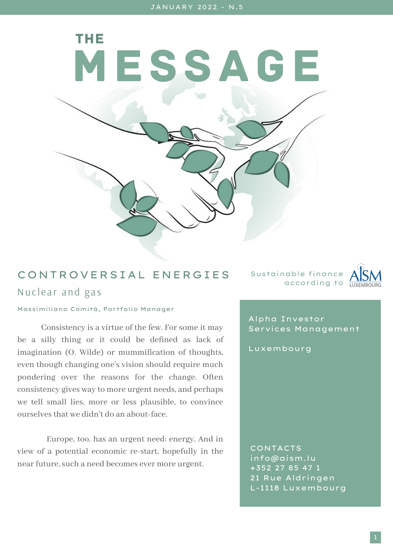MESSAGE

## CONTROVERSIAL ENERGIES Nuclear and gas

Sustainable finance according to  $\frac{1}{10}$ 



## Massimiliano Comità, Portfolio Manager

THE

Consistency is a virtue of the few. For some it may be a silly thing or it could be defined as lack of imagination (O. Wilde) or mummification of thoughts, even though changing one's vision should require much pondering over the reasons for the change. Often consistency gives way to more urgent needs, and perhaps we tell small lies, more or less plausible, to convince ourselvesthat we didn't do an about-face.

Europe, too, has an urgent need: energy. And in view of a potential economic re-start, hopefully in the near future, such a need becomes ever more urgent.

Alpha Investor Services Management

Luxembourg

CONTACTS info@aism.lu +352 27 85 47 1 21 Rue Aldringen L-1118 Luxembourg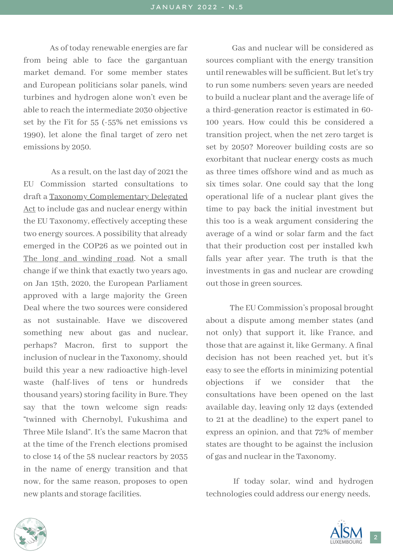As of today renewable energies are far from being able to face the gargantuan market demand. For some member states and European politicians solar panels, wind turbines and hydrogen alone won't even be able to reach the intermediate 2030 objective set by the Fit for 55 (-55% net emissions vs 1990), let alone the final target of zero net emissions by 2050.

As a result, on the last day of 2021 the EU Commission started consultations to draft a Taxonomy [Complementary](https://ec.europa.eu/commission/presscorner/detail/en/IP_22_2) Delegated Act to include gas and nuclear energy within the EU Taxonomy, effectively accepting these two energy sources. A possibility that already emerged in the COP26 as we pointed out in The long and [winding](http://aism.lu/sites/default/files/2021-12/THE%20MESSAGE%20-%20NOVEMBER%202021%20-%20EN.pdf) road. Not a small change if we think that exactly two years ago, on Jan 15th, 2020, the European Parliament approved with a large majority the Green Deal where the two sources were considered as not sustainable. Have we discovered something new about gas and nuclear, perhaps? Macron, first to support the inclusion of nuclear in the Taxonomy, should build this year a new radioactive high-level waste (half-lives of tens or hundreds thousand years) storing facility in Bure. They say that the town welcome sign reads: "twinned with Chernobyl, Fukushima and Three Mile Island". It's the same Macron that at the time of the French elections promised to close 14 of the 58 nuclear reactors by 2035 in the name of energy transition and that now, for the same reason, proposes to open new plants and storage facilities.

Gas and nuclear will be considered as sources compliant with the energy transition until renewables will be sufficient. But let's try to run some numbers: seven years are needed to build a nuclear plant and the average life of a third-generation reactor is estimated in 60- 100 years. How could this be considered a transition project, when the net zero target is set by 2050? Moreover building costs are so exorbitant that nuclear energy costs as much as three times offshore wind and as much as six times solar. One could say that the long operational life of a nuclear plant gives the time to pay back the initial investment but this too is a weak argument considering the average of a wind or solar farm and the fact that their production cost per installed kwh falls year after year. The truth is that the investments in gas and nuclear are crowding out those in green sources.

The EU Commission's proposal brought about a dispute among member states (and not only) that support it, like France, and those that are against it, like Germany. A final decision has not been reached yet, but it's easy to see the efforts in minimizing potential objections if we consider that the consultations have been opened on the last available day, leaving only 12 days (extended to 21 at the deadline) to the expert panel to express an opinion, and that 72% of member states are thought to be against the inclusion of gas and nuclearin the Taxonomy.

If today solar, wind and hydrogen technologies could address our energy needs,